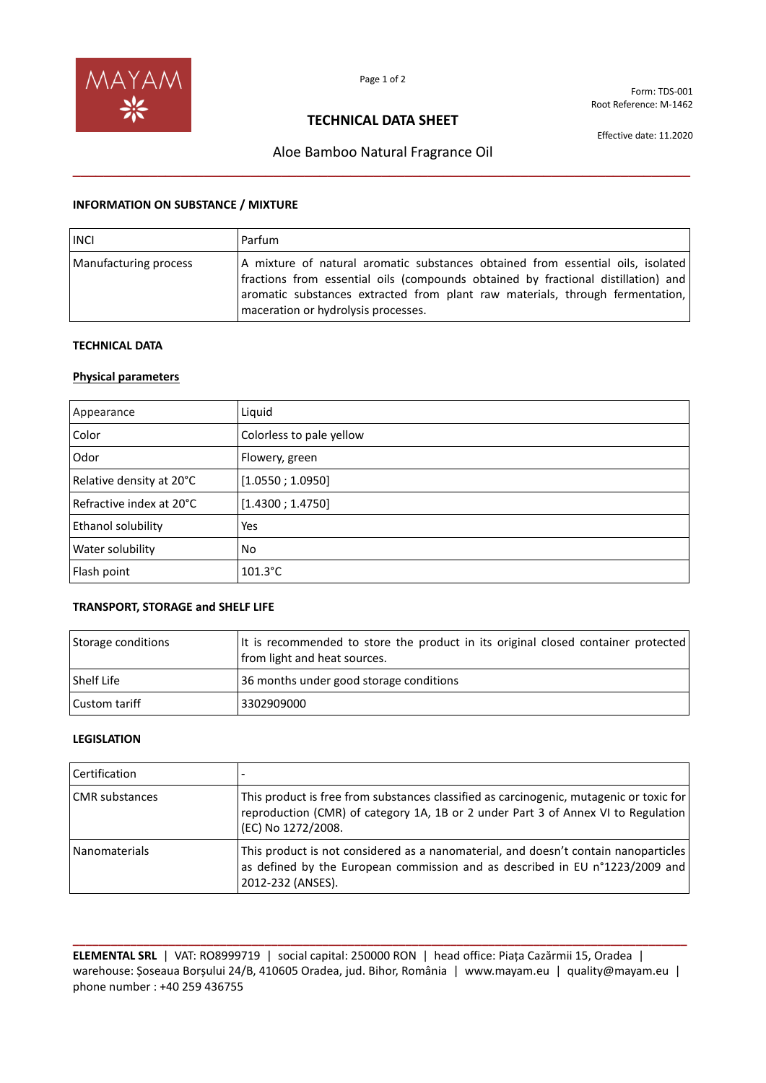

Form: TDS-001 Root Reference: M-1462

## **TECHNICAL DATA SHEET**

Effective date: 11.2020

# Aloe Bamboo Natural Fragrance Oil **\_\_\_\_\_\_\_\_\_\_\_\_\_\_\_\_\_\_\_\_\_\_\_\_\_\_\_\_\_\_\_\_\_\_\_\_\_\_\_\_\_\_\_\_\_\_\_\_\_\_\_\_\_\_\_\_\_\_\_\_\_\_\_\_\_\_\_\_\_\_\_\_\_\_\_\_\_\_\_\_**

#### **INFORMATION ON SUBSTANCE / MIXTURE**

| <b>INCI</b>           | Parfum                                                                                                                                                                                                                                                                                       |
|-----------------------|----------------------------------------------------------------------------------------------------------------------------------------------------------------------------------------------------------------------------------------------------------------------------------------------|
| Manufacturing process | A mixture of natural aromatic substances obtained from essential oils, isolated<br>fractions from essential oils (compounds obtained by fractional distillation) and<br>aromatic substances extracted from plant raw materials, through fermentation,<br>maceration or hydrolysis processes. |

### **TECHNICAL DATA**

#### **Physical parameters**

| Appearance               | Liquid                   |
|--------------------------|--------------------------|
| Color                    | Colorless to pale yellow |
| Odor                     | Flowery, green           |
| Relative density at 20°C | [1.0550; 1.0950]         |
| Refractive index at 20°C | [1.4300; 1.4750]         |
| Ethanol solubility       | Yes                      |
| Water solubility         | No.                      |
| Flash point              | $101.3^{\circ}$ C        |

### **TRANSPORT, STORAGE and SHELF LIFE**

| Storage conditions | It is recommended to store the product in its original closed container protected<br>from light and heat sources. |
|--------------------|-------------------------------------------------------------------------------------------------------------------|
| <b>Shelf Life</b>  | 36 months under good storage conditions                                                                           |
| Custom tariff      | 3302909000                                                                                                        |

### **LEGISLATION**

| Certification         |                                                                                                                                                                                                    |
|-----------------------|----------------------------------------------------------------------------------------------------------------------------------------------------------------------------------------------------|
| <b>CMR</b> substances | This product is free from substances classified as carcinogenic, mutagenic or toxic for<br>reproduction (CMR) of category 1A, 1B or 2 under Part 3 of Annex VI to Regulation<br>(EC) No 1272/2008. |
| Nanomaterials         | This product is not considered as a nanomaterial, and doesn't contain nanoparticles<br>as defined by the European commission and as described in EU n°1223/2009 and<br>2012-232 (ANSES).           |

**\_\_\_\_\_\_\_\_\_\_\_\_\_\_\_\_\_\_\_\_\_\_\_\_\_\_\_\_\_\_\_\_\_\_\_\_\_\_\_\_\_\_\_\_\_\_\_\_\_\_\_\_\_\_\_\_\_\_\_\_\_\_\_\_\_\_\_\_\_\_\_\_\_\_\_\_\_\_\_\_\_\_\_\_\_\_\_\_\_\_\_\_\_\_\_\_ ELEMENTAL SRL** | VAT: RO8999719 | social capital: 250000 RON | head office: Piața Cazărmii 15, Oradea | warehouse: Șoseaua Borșului 24/B, 410605 Oradea, jud. Bihor, România | www.mayam.eu | quality@mayam.eu | phone number : +40 259 436755